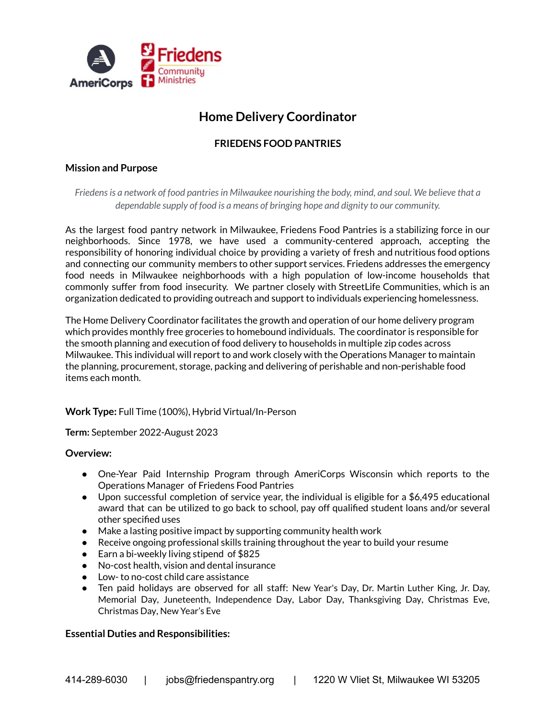

# **Home Delivery Coordinator**

## **FRIEDENS FOOD PANTRIES**

## **Mission and Purpose**

*Friedensis a network of food pantriesin Milwaukee nourishing the body, mind, and soul. We believe that a dependable supply of food is a means of bringing hope and dignity to our community.*

As the largest food pantry network in Milwaukee, Friedens Food Pantries is a stabilizing force in our neighborhoods. Since 1978, we have used a community-centered approach, accepting the responsibility of honoring individual choice by providing a variety of fresh and nutritious food options and connecting our community members to other support services. Friedens addresses the emergency food needs in Milwaukee neighborhoods with a high population of low-income households that commonly suffer from food insecurity. We partner closely with StreetLife Communities, which is an organization dedicated to providing outreach and support to individuals experiencing homelessness.

The Home Delivery Coordinator facilitates the growth and operation of our home delivery program which provides monthly free groceries to homebound individuals. The coordinator is responsible for the smooth planning and execution of food delivery to households in multiple zip codes across Milwaukee. This individual will report to and work closely with the Operations Manager to maintain the planning, procurement, storage, packing and delivering of perishable and non-perishable food items each month.

## **Work Type:** Full Time (100%), Hybrid Virtual/In-Person

**Term:** September 2022-August 2023

#### **Overview:**

- One-Year Paid Internship Program through AmeriCorps Wisconsin which reports to the Operations Manager of Friedens Food Pantries
- Upon successful completion of service year, the individual is eligible for a \$6,495 educational award that can be utilized to go back to school, pay off qualified student loans and/or several other specified uses
- Make a lasting positive impact by supporting community health work
- Receive ongoing professional skills training throughout the year to build your resume
- Earn a bi-weekly living stipend of \$825
- No-cost health, vision and dental insurance
- Low- to no-cost child care assistance
- Ten paid holidays are observed for all staff: New Year's Day, Dr. Martin Luther King, Jr. Day, Memorial Day, Juneteenth, Independence Day, Labor Day, Thanksgiving Day, Christmas Eve, Christmas Day, New Year's Eve

## **Essential Duties and Responsibilities:**